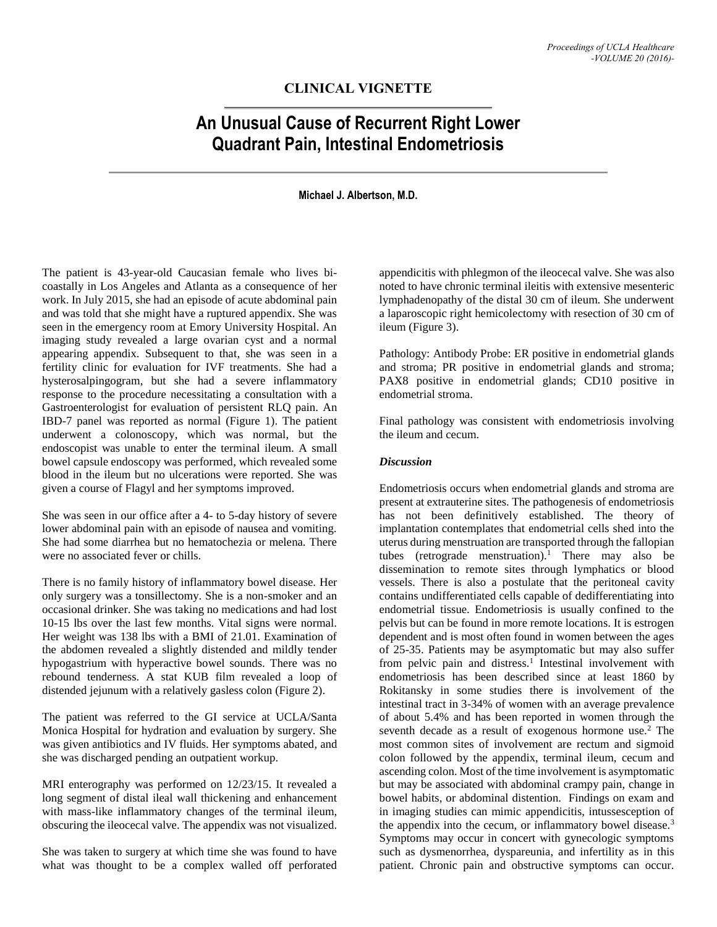## **CLINICAL VIGNETTE**

# **An Unusual Cause of Recurrent Right Lower Quadrant Pain, Intestinal Endometriosis**

**Michael J. Albertson, M.D.**

The patient is 43-year-old Caucasian female who lives bicoastally in Los Angeles and Atlanta as a consequence of her work. In July 2015, she had an episode of acute abdominal pain and was told that she might have a ruptured appendix. She was seen in the emergency room at Emory University Hospital. An imaging study revealed a large ovarian cyst and a normal appearing appendix. Subsequent to that, she was seen in a fertility clinic for evaluation for IVF treatments. She had a hysterosalpingogram, but she had a severe inflammatory response to the procedure necessitating a consultation with a Gastroenterologist for evaluation of persistent RLQ pain. An IBD-7 panel was reported as normal (Figure 1). The patient underwent a colonoscopy, which was normal, but the endoscopist was unable to enter the terminal ileum. A small bowel capsule endoscopy was performed, which revealed some blood in the ileum but no ulcerations were reported. She was given a course of Flagyl and her symptoms improved.

She was seen in our office after a 4- to 5-day history of severe lower abdominal pain with an episode of nausea and vomiting. She had some diarrhea but no hematochezia or melena. There were no associated fever or chills.

There is no family history of inflammatory bowel disease. Her only surgery was a tonsillectomy. She is a non-smoker and an occasional drinker. She was taking no medications and had lost 10-15 lbs over the last few months. Vital signs were normal. Her weight was 138 lbs with a BMI of 21.01. Examination of the abdomen revealed a slightly distended and mildly tender hypogastrium with hyperactive bowel sounds. There was no rebound tenderness. A stat KUB film revealed a loop of distended jejunum with a relatively gasless colon (Figure 2).

The patient was referred to the GI service at UCLA/Santa Monica Hospital for hydration and evaluation by surgery. She was given antibiotics and IV fluids. Her symptoms abated, and she was discharged pending an outpatient workup.

MRI enterography was performed on 12/23/15. It revealed a long segment of distal ileal wall thickening and enhancement with mass-like inflammatory changes of the terminal ileum, obscuring the ileocecal valve. The appendix was not visualized.

She was taken to surgery at which time she was found to have what was thought to be a complex walled off perforated appendicitis with phlegmon of the ileocecal valve. She was also noted to have chronic terminal ileitis with extensive mesenteric lymphadenopathy of the distal 30 cm of ileum. She underwent a laparoscopic right hemicolectomy with resection of 30 cm of ileum (Figure 3).

Pathology: Antibody Probe: ER positive in endometrial glands and stroma; PR positive in endometrial glands and stroma; PAX8 positive in endometrial glands; CD10 positive in endometrial stroma.

Final pathology was consistent with endometriosis involving the ileum and cecum.

#### *Discussion*

Endometriosis occurs when endometrial glands and stroma are present at extrauterine sites. The pathogenesis of endometriosis has not been definitively established. The theory of implantation contemplates that endometrial cells shed into the uterus during menstruation are transported through the fallopian tubes (retrograde menstruation).<sup>1</sup> There may also be dissemination to remote sites through lymphatics or blood vessels. There is also a postulate that the peritoneal cavity contains undifferentiated cells capable of dedifferentiating into endometrial tissue. Endometriosis is usually confined to the pelvis but can be found in more remote locations. It is estrogen dependent and is most often found in women between the ages of 25-35. Patients may be asymptomatic but may also suffer from pelvic pain and distress.<sup>1</sup> Intestinal involvement with endometriosis has been described since at least 1860 by Rokitansky in some studies there is involvement of the intestinal tract in 3-34% of women with an average prevalence of about 5.4% and has been reported in women through the seventh decade as a result of exogenous hormone use.<sup>2</sup> The most common sites of involvement are rectum and sigmoid colon followed by the appendix, terminal ileum, cecum and ascending colon. Most of the time involvement is asymptomatic but may be associated with abdominal crampy pain, change in bowel habits, or abdominal distention. Findings on exam and in imaging studies can mimic appendicitis, intussesception of the appendix into the cecum, or inflammatory bowel disease.<sup>3</sup> Symptoms may occur in concert with gynecologic symptoms such as dysmenorrhea, dyspareunia, and infertility as in this patient. Chronic pain and obstructive symptoms can occur.